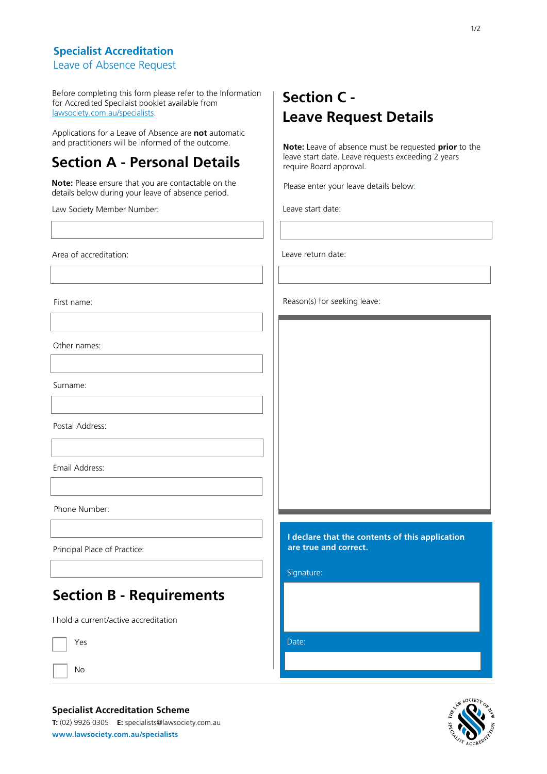#### **Specialist Accreditation**

Leave of Absence Request

Before completing this form please refer to the Information for Accredited Specilaist booklet available from [lawsociety.com.au/specialists.](http://www.lawsociety.com.au/cs/groups/public/documents/internetcontent/026302.pdf)

Applications for a Leave of Absence are **not** automatic and practitioners will be informed of the outcome.

### **Section A - Personal Details**

**Note:** Please ensure that you are contactable on the details below during your leave of absence period.

Law Society Member Number:

Area of accreditation:

First name:

Other names:

Surname:

Postal Address:

Email Address:

Phone Number:

Principal Place of Practice:

### **Section B - Requirements**

I hold a current/active accreditation

Yes

No

#### **Specialist Accreditation Scheme**

**T:** (02) 9926 0305 **E:** specialists@lawsociety.com.au **[www.lawsociety.com.au/specialists](http://www.lawsociety.com.au/specialists)** 

## **Section C - Leave Request Details**

**Note:** Leave of absence must be requested **prior** to the leave start date. Leave requests exceeding 2 years require Board approval.

Please enter your leave details below:

Leave start date:

Leave return date:

Reason(s) for seeking leave:

**I declare that the contents of this application are true and correct.** 

Signature:

Date: